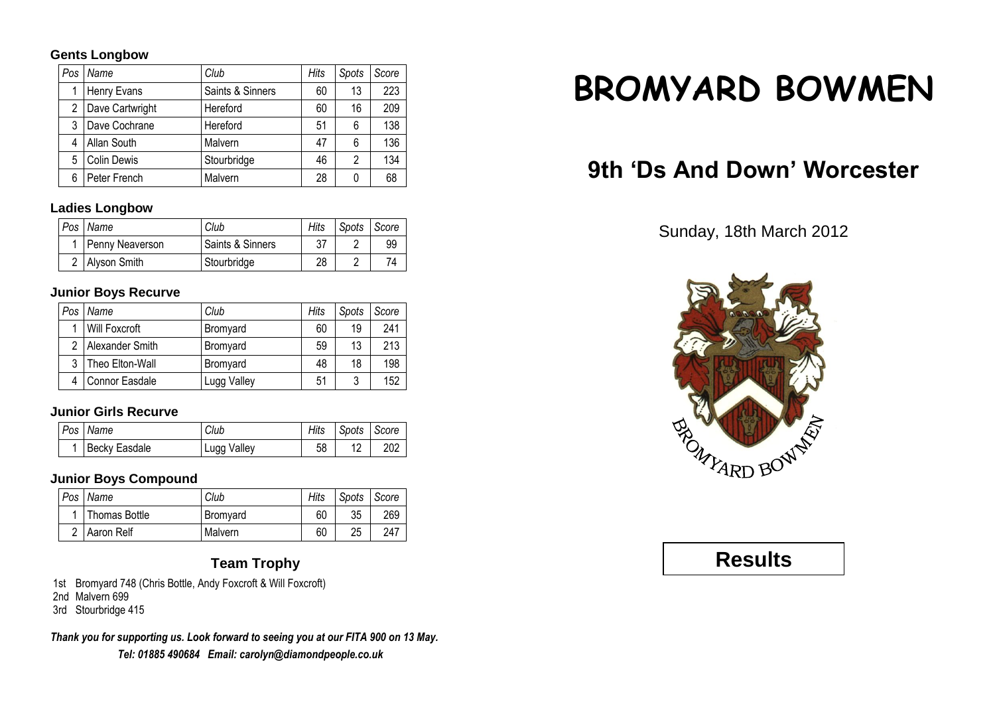### **Gents Longbow**

| Pos | Name               | Club             | Hits | Spots | Score |
|-----|--------------------|------------------|------|-------|-------|
|     | Henry Evans        | Saints & Sinners | 60   | 13    | 223   |
| 2   | Dave Cartwright    | Hereford         | 60   | 16    | 209   |
| 3   | Dave Cochrane      | Hereford         | 51   | 6     | 138   |
| 4   | Allan South        | Malvern          | 47   | 6     | 136   |
| 5   | <b>Colin Dewis</b> | Stourbridge      | 46   | 2     | 134   |
| 6   | Peter French       | Malvern          | 28   | 0     | 68    |

### **Ladies Longbow**

| Pos Name        | Club             | Hits | Spots Score |    |
|-----------------|------------------|------|-------------|----|
| Penny Neaverson | Saints & Sinners |      |             | 99 |
| 2 Alyson Smith  | Stourbridge      | 28   |             | 74 |

### **Junior Boys Recurve**

| Pos | Name                  | Club        | Hits | Spots | Score |
|-----|-----------------------|-------------|------|-------|-------|
|     | <b>Will Foxcroft</b>  | Bromyard    | 60   | 19    | 241   |
| 2   | Alexander Smith       | Bromyard    | 59   | 13    | 213   |
| ર   | Theo Elton-Wall       | Bromyard    | 48   | 18    | 198   |
|     | <b>Connor Easdale</b> | Lugg Valley | 51   | 3     | 152   |

#### **Junior Girls Recurve**

| Pos Name        | Club        |    | Hits Spots Score |     |
|-----------------|-------------|----|------------------|-----|
| 1 Becky Easdale | Lugg Valley | 58 |                  | 202 |

### **Junior Boys Compound**

| Pos | Name          | Club     | Hits | Spots | Score |
|-----|---------------|----------|------|-------|-------|
|     | Thomas Bottle | Bromvard | 60   | 35    | 269   |
|     | Aaron Relf    | Malvern  | 60   | 25    | 247   |

### **Team Trophy**

1st Bromyard 748 (Chris Bottle, Andy Foxcroft & Will Foxcroft)

2nd Malvern 699

3rd Stourbridge 415

*Thank you for supporting us. Look forward to seeing you at our FITA 900 on 13 May. Tel: 01885 490684 Email: carolyn@diamondpeople.co.uk*

# **BROMYARD BOWMEN**

## **9th 'Ds And Down' Worcester**

Sunday, 18th March 2012



### **Results**